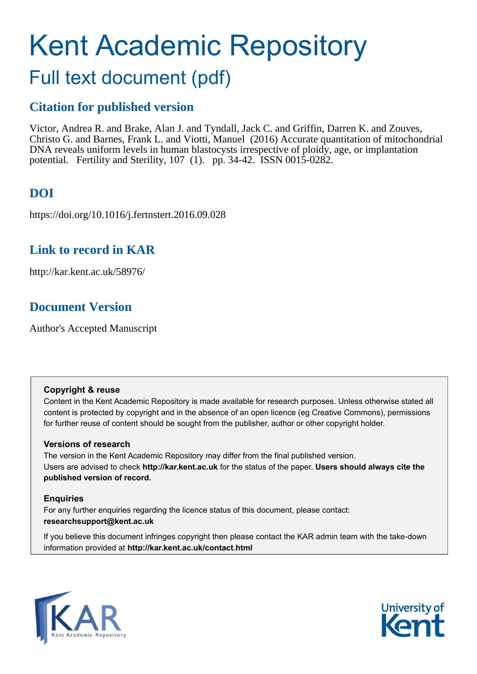# Kent Academic Repository

## Full text document (pdf)

## **Citation for published version**

Victor, Andrea R. and Brake, Alan J. and Tyndall, Jack C. and Griffin, Darren K. and Zouves, Christo G. and Barnes, Frank L. and Viotti, Manuel (2016) Accurate quantitation of mitochondrial DNA reveals uniform levels in human blastocysts irrespective of ploidy, age, or implantation potential. Fertility and Sterility, 107 (1). pp. 34-42. ISSN 0015-0282.

## **DOI**

https://doi.org/10.1016/j.fertnstert.2016.09.028

## **Link to record in KAR**

http://kar.kent.ac.uk/58976/

## **Document Version**

Author's Accepted Manuscript

#### **Copyright & reuse**

Content in the Kent Academic Repository is made available for research purposes. Unless otherwise stated all content is protected by copyright and in the absence of an open licence (eg Creative Commons), permissions for further reuse of content should be sought from the publisher, author or other copyright holder.

#### **Versions of research**

The version in the Kent Academic Repository may differ from the final published version. Users are advised to check **http://kar.kent.ac.uk** for the status of the paper. **Users should always cite the published version of record.**

#### **Enquiries**

For any further enquiries regarding the licence status of this document, please contact: **researchsupport@kent.ac.uk**

If you believe this document infringes copyright then please contact the KAR admin team with the take-down information provided at **http://kar.kent.ac.uk/contact.html**



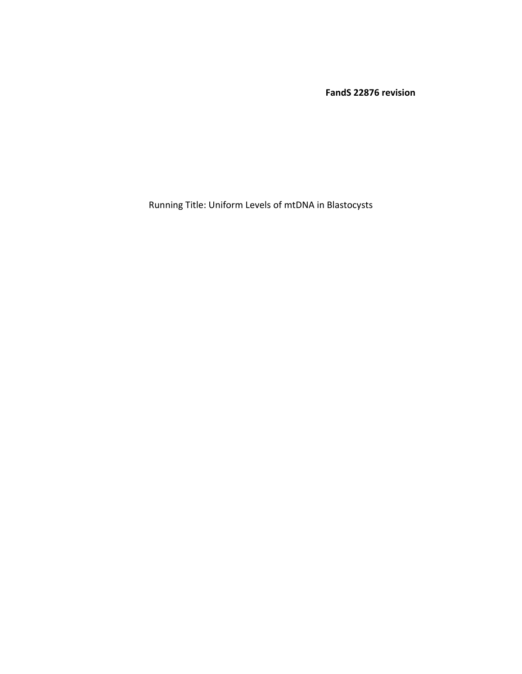**FandS 22876 revision** 

Running Title: Uniform Levels of mtDNA in Blastocysts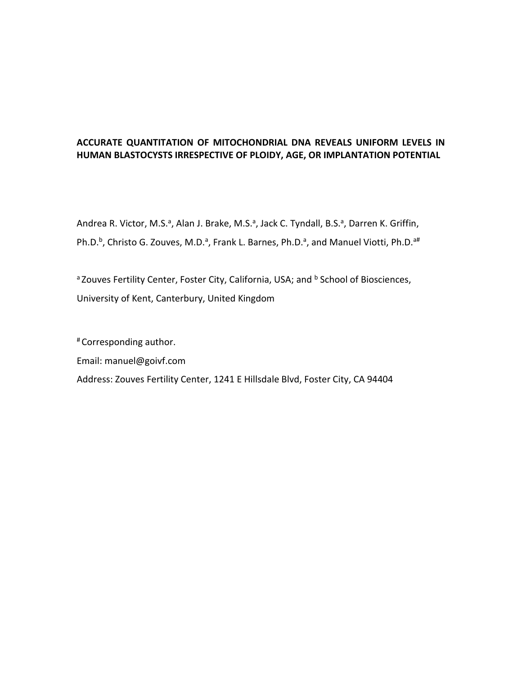#### **ACCURATE QUANTITATION OF MITOCHONDRIAL DNA REVEALS UNIFORM LEVELS IN HUMAN BLASTOCYSTS IRRESPECTIVE OF PLOIDY, AGE, OR IMPLANTATION POTENTIAL**

Andrea R. Victor, M.S.<sup>a</sup>, Alan J. Brake, M.S.<sup>a</sup>, Jack C. Tyndall, B.S.<sup>a</sup>, Darren K. Griffin, Ph.D.<sup>b</sup>, Christo G. Zouves, M.D.<sup>a</sup>, Frank L. Barnes, Ph.D.<sup>a</sup>, and Manuel Viotti, Ph.D.<sup>a#</sup>

<sup>a</sup> Zouves Fertility Center, Foster City, California, USA; and <sup>b</sup> School of Biosciences, University of Kent, Canterbury, United Kingdom

# Corresponding author.

Email: manuel@goivf.com

Address: Zouves Fertility Center, 1241 E Hillsdale Blvd, Foster City, CA 94404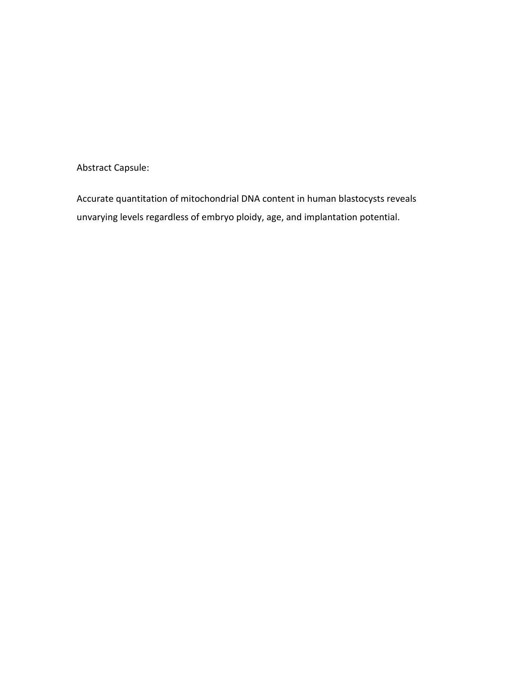Abstract Capsule:

Accurate quantitation of mitochondrial DNA content in human blastocysts reveals unvarying levels regardless of embryo ploidy, age, and implantation potential.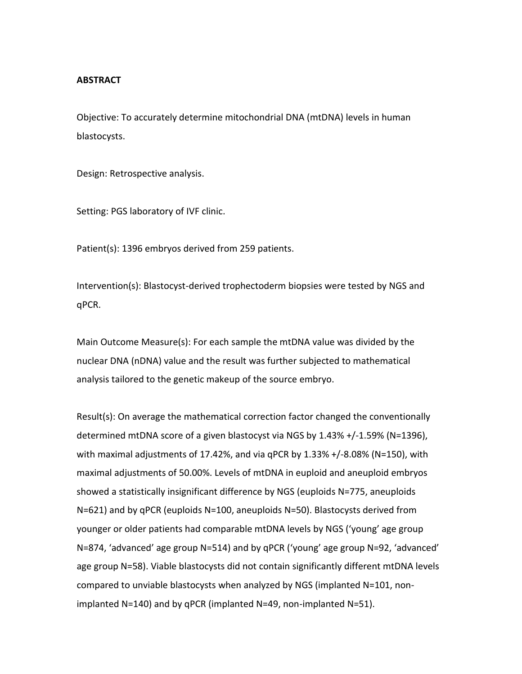#### **ABSTRACT**

Objective: To accurately determine mitochondrial DNA (mtDNA) levels in human blastocysts.

Design: Retrospective analysis.

Setting: PGS laboratory of IVF clinic.

Patient(s): 1396 embryos derived from 259 patients.

Intervention(s): Blastocyst-derived trophectoderm biopsies were tested by NGS and qPCR.

Main Outcome Measure(s): For each sample the mtDNA value was divided by the nuclear DNA (nDNA) value and the result was further subjected to mathematical analysis tailored to the genetic makeup of the source embryo.

Result(s): On average the mathematical correction factor changed the conventionally determined mtDNA score of a given blastocyst via NGS by 1.43% +/-1.59% (N=1396), with maximal adjustments of 17.42%, and via qPCR by 1.33% +/-8.08% (N=150), with maximal adjustments of 50.00%. Levels of mtDNA in euploid and aneuploid embryos showed a statistically insignificant difference by NGS (euploids N=775, aneuploids N=621) and by qPCR (euploids N=100, aneuploids N=50). Blastocysts derived from younger or older patients had comparable mtDNA levels by NGS ('young' age group N=874, 'advanced' age group N=514) and by qPCR ('young' age group N=92, 'advanced' age group N=58). Viable blastocysts did not contain significantly different mtDNA levels compared to unviable blastocysts when analyzed by NGS (implanted N=101, nonimplanted N=140) and by qPCR (implanted N=49, non-implanted N=51).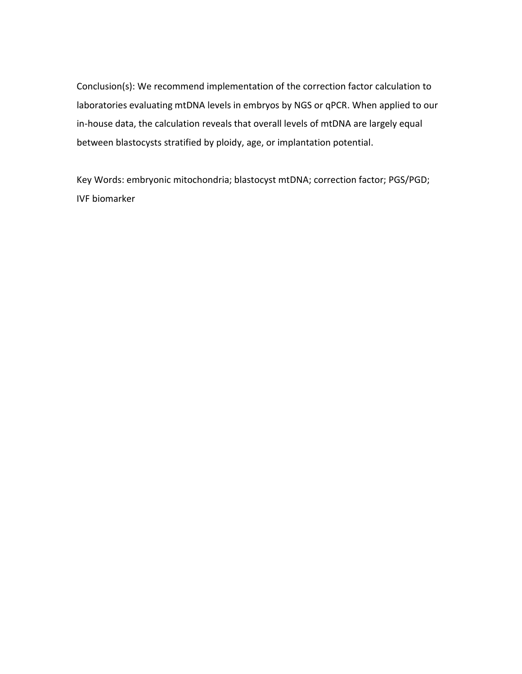Conclusion(s): We recommend implementation of the correction factor calculation to laboratories evaluating mtDNA levels in embryos by NGS or qPCR. When applied to our in-house data, the calculation reveals that overall levels of mtDNA are largely equal between blastocysts stratified by ploidy, age, or implantation potential.

Key Words: embryonic mitochondria; blastocyst mtDNA; correction factor; PGS/PGD; IVF biomarker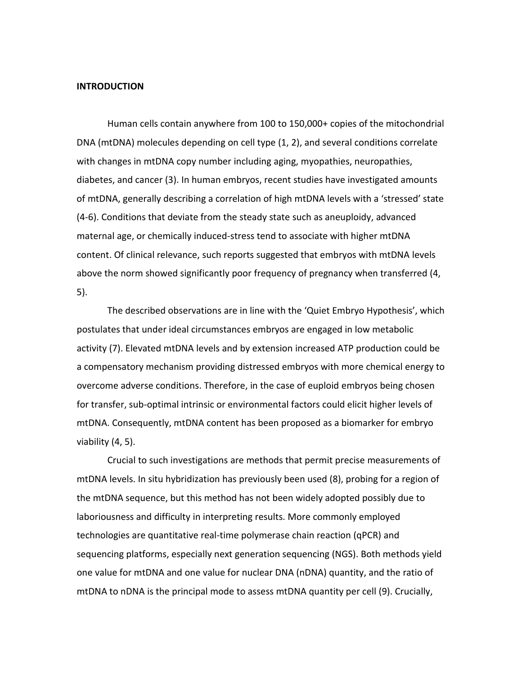#### **INTRODUCTION**

Human cells contain anywhere from 100 to 150,000+ copies of the mitochondrial DNA (mtDNA) molecules depending on cell type (1, 2), and several conditions correlate with changes in mtDNA copy number including aging, myopathies, neuropathies, diabetes, and cancer (3). In human embryos, recent studies have investigated amounts of mtDNA, generally describing a correlation of high mtDNA levels with a 'stressed' state (4-6). Conditions that deviate from the steady state such as aneuploidy, advanced maternal age, or chemically induced-stress tend to associate with higher mtDNA content. Of clinical relevance, such reports suggested that embryos with mtDNA levels above the norm showed significantly poor frequency of pregnancy when transferred (4, 5).

The described observations are in line with the 'Quiet Embryo Hypothesis', which postulates that under ideal circumstances embryos are engaged in low metabolic activity (7). Elevated mtDNA levels and by extension increased ATP production could be a compensatory mechanism providing distressed embryos with more chemical energy to overcome adverse conditions. Therefore, in the case of euploid embryos being chosen for transfer, sub-optimal intrinsic or environmental factors could elicit higher levels of mtDNA. Consequently, mtDNA content has been proposed as a biomarker for embryo viability (4, 5).

Crucial to such investigations are methods that permit precise measurements of mtDNA levels. In situ hybridization has previously been used (8), probing for a region of the mtDNA sequence, but this method has not been widely adopted possibly due to laboriousness and difficulty in interpreting results. More commonly employed technologies are quantitative real-time polymerase chain reaction (qPCR) and sequencing platforms, especially next generation sequencing (NGS). Both methods yield one value for mtDNA and one value for nuclear DNA (nDNA) quantity, and the ratio of mtDNA to nDNA is the principal mode to assess mtDNA quantity per cell (9). Crucially,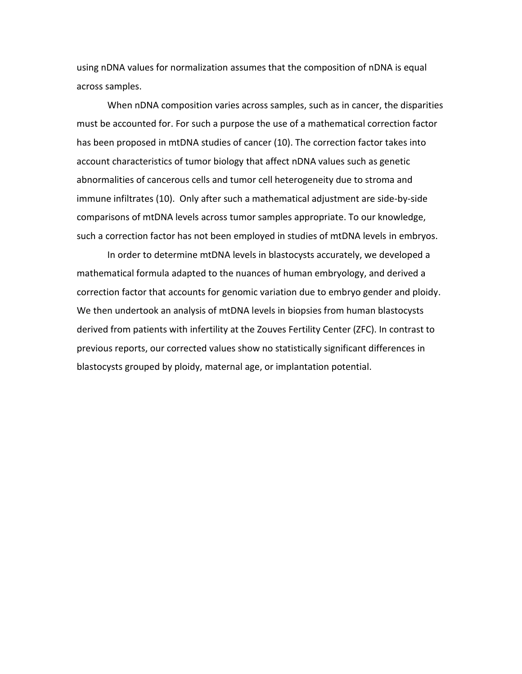using nDNA values for normalization assumes that the composition of nDNA is equal across samples.

When nDNA composition varies across samples, such as in cancer, the disparities must be accounted for. For such a purpose the use of a mathematical correction factor has been proposed in mtDNA studies of cancer (10). The correction factor takes into account characteristics of tumor biology that affect nDNA values such as genetic abnormalities of cancerous cells and tumor cell heterogeneity due to stroma and immune infiltrates (10). Only after such a mathematical adjustment are side-by-side comparisons of mtDNA levels across tumor samples appropriate. To our knowledge, such a correction factor has not been employed in studies of mtDNA levels in embryos.

In order to determine mtDNA levels in blastocysts accurately, we developed a mathematical formula adapted to the nuances of human embryology, and derived a correction factor that accounts for genomic variation due to embryo gender and ploidy. We then undertook an analysis of mtDNA levels in biopsies from human blastocysts derived from patients with infertility at the Zouves Fertility Center (ZFC). In contrast to previous reports, our corrected values show no statistically significant differences in blastocysts grouped by ploidy, maternal age, or implantation potential.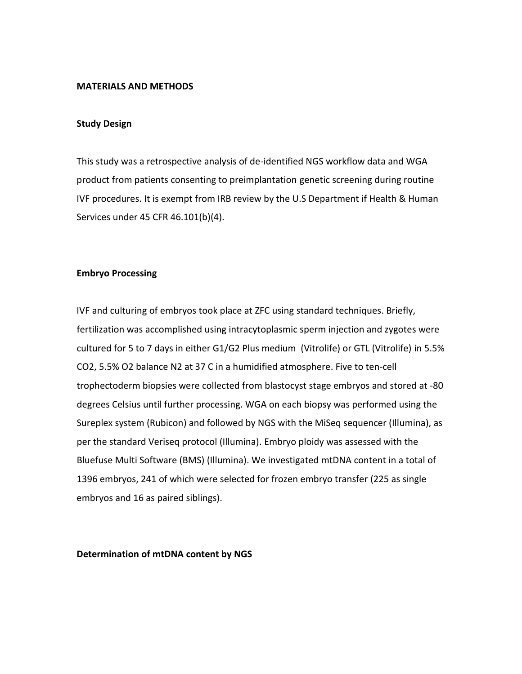#### **MATERIALS AND METHODS**

#### **Study Design**

This study was a retrospective analysis of de-identified NGS workflow data and WGA product from patients consenting to preimplantation genetic screening during routine IVF procedures. It is exempt from IRB review by the U.S Department if Health & Human Services under 45 CFR 46.101(b)(4).

#### **Embryo Processing**

IVF and culturing of embryos took place at ZFC using standard techniques. Briefly, fertilization was accomplished using intracytoplasmic sperm injection and zygotes were cultured for 5 to 7 days in either G1/G2 Plus medium (Vitrolife) or GTL (Vitrolife) in 5.5% CO2, 5.5% O2 balance N2 at 37 C in a humidified atmosphere. Five to ten-cell trophectoderm biopsies were collected from blastocyst stage embryos and stored at -80 degrees Celsius until further processing. WGA on each biopsy was performed using the Sureplex system (Rubicon) and followed by NGS with the MiSeq sequencer (Illumina), as per the standard Veriseq protocol (Illumina). Embryo ploidy was assessed with the Bluefuse Multi Software (BMS) (Illumina). We investigated mtDNA content in a total of 1396 embryos, 241 of which were selected for frozen embryo transfer (225 as single embryos and 16 as paired siblings).

**Determination of mtDNA content by NGS**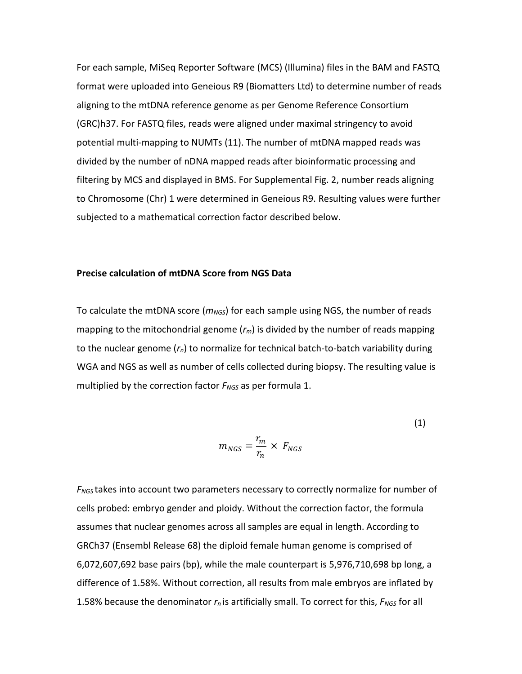For each sample, MiSeq Reporter Software (MCS) (Illumina) files in the BAM and FASTQ format were uploaded into Geneious R9 (Biomatters Ltd) to determine number of reads aligning to the mtDNA reference genome as per Genome Reference Consortium (GRC)h37. For FASTQ files, reads were aligned under maximal stringency to avoid potential multi-mapping to NUMTs (11). The number of mtDNA mapped reads was divided by the number of nDNA mapped reads after bioinformatic processing and filtering by MCS and displayed in BMS. For Supplemental Fig. 2, number reads aligning to Chromosome (Chr) 1 were determined in Geneious R9. Resulting values were further subjected to a mathematical correction factor described below.

#### **Precise calculation of mtDNA Score from NGS Data**

To calculate the mtDNA score ( $m_{NGS}$ ) for each sample using NGS, the number of reads mapping to the mitochondrial genome (*rm*) is divided by the number of reads mapping to the nuclear genome (*rn*) to normalize for technical batch-to-batch variability during WGA and NGS as well as number of cells collected during biopsy. The resulting value is multiplied by the correction factor *FNGS* as per formula 1.

$$
m_{NGS} = \frac{r_m}{r_n} \times F_{NGS}
$$
 (1)

*FNGS* takes into account two parameters necessary to correctly normalize for number of cells probed: embryo gender and ploidy. Without the correction factor, the formula assumes that nuclear genomes across all samples are equal in length. According to GRCh37 (Ensembl Release 68) the diploid female human genome is comprised of 6,072,607,692 base pairs (bp), while the male counterpart is 5,976,710,698 bp long, a difference of 1.58%. Without correction, all results from male embryos are inflated by 1.58% because the denominator *rn* is artificially small. To correct for this, *FNGS* for all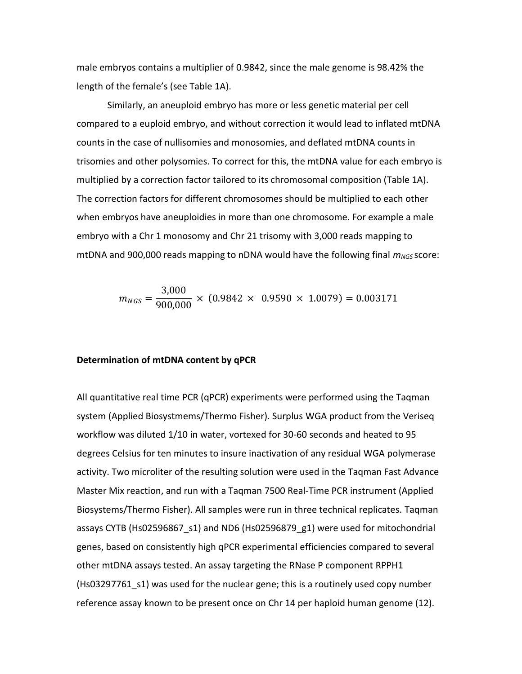male embryos contains a multiplier of 0.9842, since the male genome is 98.42% the length of the female's (see Table 1A).

 Similarly, an aneuploid embryo has more or less genetic material per cell compared to a euploid embryo, and without correction it would lead to inflated mtDNA counts in the case of nullisomies and monosomies, and deflated mtDNA counts in trisomies and other polysomies. To correct for this, the mtDNA value for each embryo is multiplied by a correction factor tailored to its chromosomal composition (Table 1A). The correction factors for different chromosomes should be multiplied to each other when embryos have aneuploidies in more than one chromosome. For example a male embryo with a Chr 1 monosomy and Chr 21 trisomy with 3,000 reads mapping to mtDNA and 900,000 reads mapping to nDNA would have the following final *mNGS* score:

$$
m_{NGS} = \frac{3,000}{900,000} \times (0.9842 \times 0.9590 \times 1.0079) = 0.003171
$$

#### **Determination of mtDNA content by qPCR**

All quantitative real time PCR (qPCR) experiments were performed using the Taqman system (Applied Biosystmems/Thermo Fisher). Surplus WGA product from the Veriseq workflow was diluted 1/10 in water, vortexed for 30-60 seconds and heated to 95 degrees Celsius for ten minutes to insure inactivation of any residual WGA polymerase activity. Two microliter of the resulting solution were used in the Taqman Fast Advance Master Mix reaction, and run with a Taqman 7500 Real-Time PCR instrument (Applied Biosystems/Thermo Fisher). All samples were run in three technical replicates. Taqman assays CYTB (Hs02596867\_s1) and ND6 (Hs02596879\_g1) were used for mitochondrial genes, based on consistently high qPCR experimental efficiencies compared to several other mtDNA assays tested. An assay targeting the RNase P component RPPH1 (Hs03297761\_s1) was used for the nuclear gene; this is a routinely used copy number reference assay known to be present once on Chr 14 per haploid human genome (12).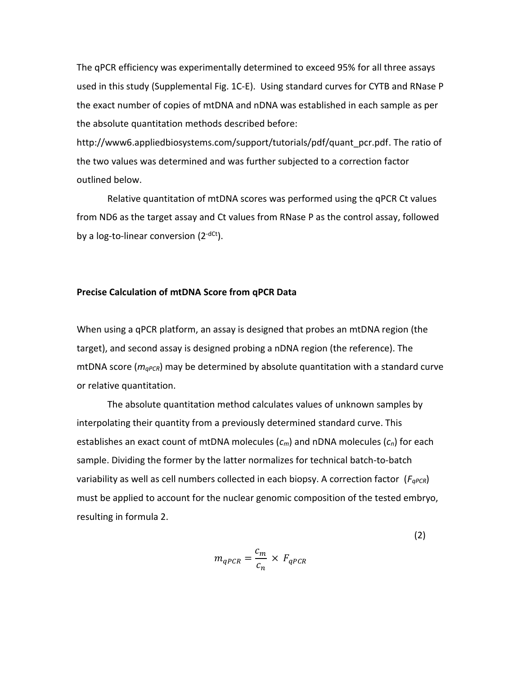The qPCR efficiency was experimentally determined to exceed 95% for all three assays used in this study (Supplemental Fig. 1C-E). Using standard curves for CYTB and RNase P the exact number of copies of mtDNA and nDNA was established in each sample as per the absolute quantitation methods described before:

http://www6.appliedbiosystems.com/support/tutorials/pdf/quant\_pcr.pdf. The ratio of the two values was determined and was further subjected to a correction factor outlined below.

Relative quantitation of mtDNA scores was performed using the qPCR Ct values from ND6 as the target assay and Ct values from RNase P as the control assay, followed by a log-to-linear conversion  $(2^{-dCt})$ .

#### **Precise Calculation of mtDNA Score from qPCR Data**

When using a qPCR platform, an assay is designed that probes an mtDNA region (the target), and second assay is designed probing a nDNA region (the reference). The mtDNA score (*mqPCR*) may be determined by absolute quantitation with a standard curve or relative quantitation.

The absolute quantitation method calculates values of unknown samples by interpolating their quantity from a previously determined standard curve. This establishes an exact count of mtDNA molecules (*cm*) and nDNA molecules (*cn*) for each sample. Dividing the former by the latter normalizes for technical batch-to-batch variability as well as cell numbers collected in each biopsy. A correction factor ( $F_{qPCR}$ ) must be applied to account for the nuclear genomic composition of the tested embryo, resulting in formula 2.

$$
m_{qPCR} = \frac{c_m}{c_n} \times F_{qPCR}
$$

(2)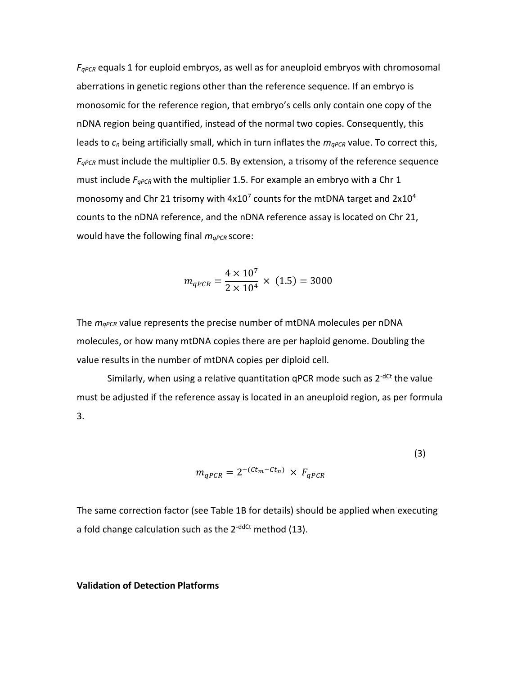*FqPCR* equals 1 for euploid embryos, as well as for aneuploid embryos with chromosomal aberrations in genetic regions other than the reference sequence. If an embryo is monosomic for the reference region, that embryo's cells only contain one copy of the nDNA region being quantified, instead of the normal two copies. Consequently, this leads to  $c_n$  being artificially small, which in turn inflates the  $m_{qPCR}$  value. To correct this, *FqPCR* must include the multiplier 0.5. By extension, a trisomy of the reference sequence must include *FqPCR* with the multiplier 1.5. For example an embryo with a Chr 1 monosomy and Chr 21 trisomy with 4x10<sup>7</sup> counts for the mtDNA target and 2x10<sup>4</sup> counts to the nDNA reference, and the nDNA reference assay is located on Chr 21, would have the following final *mqPCR* score:

$$
m_{qPCR} = \frac{4 \times 10^7}{2 \times 10^4} \times (1.5) = 3000
$$

The *mqPCR* value represents the precise number of mtDNA molecules per nDNA molecules, or how many mtDNA copies there are per haploid genome. Doubling the value results in the number of mtDNA copies per diploid cell.

Similarly, when using a relative quantitation qPCR mode such as  $2^{-dCt}$  the value must be adjusted if the reference assay is located in an aneuploid region, as per formula 3.

$$
m_{qPCR} = 2^{-(Ct_m - Ct_n)} \times F_{qPCR}
$$
 (3)

The same correction factor (see Table 1B for details) should be applied when executing a fold change calculation such as the  $2^{-ddCt}$  method (13).

#### **Validation of Detection Platforms**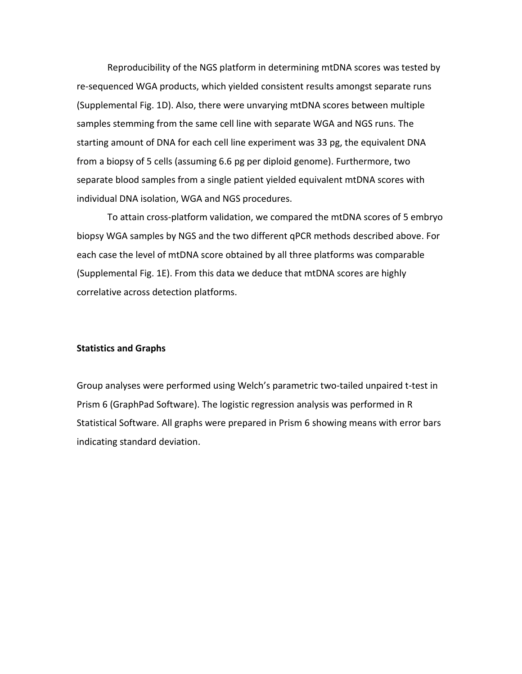Reproducibility of the NGS platform in determining mtDNA scores was tested by re-sequenced WGA products, which yielded consistent results amongst separate runs (Supplemental Fig. 1D). Also, there were unvarying mtDNA scores between multiple samples stemming from the same cell line with separate WGA and NGS runs. The starting amount of DNA for each cell line experiment was 33 pg, the equivalent DNA from a biopsy of 5 cells (assuming 6.6 pg per diploid genome). Furthermore, two separate blood samples from a single patient yielded equivalent mtDNA scores with individual DNA isolation, WGA and NGS procedures.

To attain cross-platform validation, we compared the mtDNA scores of 5 embryo biopsy WGA samples by NGS and the two different qPCR methods described above. For each case the level of mtDNA score obtained by all three platforms was comparable (Supplemental Fig. 1E). From this data we deduce that mtDNA scores are highly correlative across detection platforms.

#### **Statistics and Graphs**

Group analyses were performed using Welch's parametric two-tailed unpaired t-test in Prism 6 (GraphPad Software). The logistic regression analysis was performed in R Statistical Software. All graphs were prepared in Prism 6 showing means with error bars indicating standard deviation.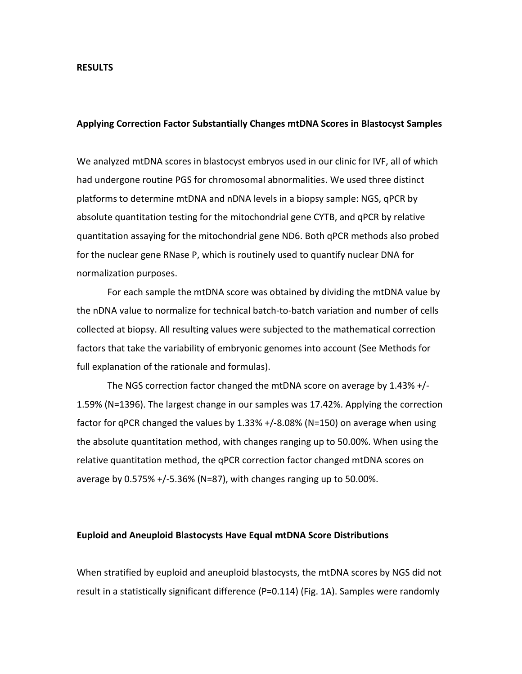#### **RESULTS**

#### **Applying Correction Factor Substantially Changes mtDNA Scores in Blastocyst Samples**

We analyzed mtDNA scores in blastocyst embryos used in our clinic for IVF, all of which had undergone routine PGS for chromosomal abnormalities. We used three distinct platforms to determine mtDNA and nDNA levels in a biopsy sample: NGS, qPCR by absolute quantitation testing for the mitochondrial gene CYTB, and qPCR by relative quantitation assaying for the mitochondrial gene ND6. Both qPCR methods also probed for the nuclear gene RNase P, which is routinely used to quantify nuclear DNA for normalization purposes.

For each sample the mtDNA score was obtained by dividing the mtDNA value by the nDNA value to normalize for technical batch-to-batch variation and number of cells collected at biopsy. All resulting values were subjected to the mathematical correction factors that take the variability of embryonic genomes into account (See Methods for full explanation of the rationale and formulas).

The NGS correction factor changed the mtDNA score on average by 1.43% +/- 1.59% (N=1396). The largest change in our samples was 17.42%. Applying the correction factor for qPCR changed the values by 1.33% +/-8.08% (N=150) on average when using the absolute quantitation method, with changes ranging up to 50.00%. When using the relative quantitation method, the qPCR correction factor changed mtDNA scores on average by 0.575% +/-5.36% (N=87), with changes ranging up to 50.00%.

#### **Euploid and Aneuploid Blastocysts Have Equal mtDNA Score Distributions**

When stratified by euploid and aneuploid blastocysts, the mtDNA scores by NGS did not result in a statistically significant difference (P=0.114) (Fig. 1A). Samples were randomly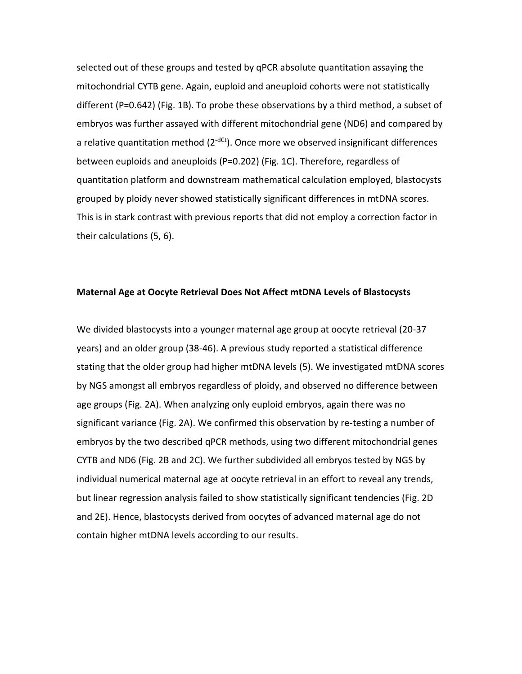selected out of these groups and tested by qPCR absolute quantitation assaying the mitochondrial CYTB gene. Again, euploid and aneuploid cohorts were not statistically different (P=0.642) (Fig. 1B). To probe these observations by a third method, a subset of embryos was further assayed with different mitochondrial gene (ND6) and compared by a relative quantitation method  $(2<sup>-dct</sup>)$ . Once more we observed insignificant differences between euploids and aneuploids (P=0.202) (Fig. 1C). Therefore, regardless of quantitation platform and downstream mathematical calculation employed, blastocysts grouped by ploidy never showed statistically significant differences in mtDNA scores. This is in stark contrast with previous reports that did not employ a correction factor in their calculations (5, 6).

#### **Maternal Age at Oocyte Retrieval Does Not Affect mtDNA Levels of Blastocysts**

We divided blastocysts into a younger maternal age group at oocyte retrieval (20-37 years) and an older group (38-46). A previous study reported a statistical difference stating that the older group had higher mtDNA levels (5). We investigated mtDNA scores by NGS amongst all embryos regardless of ploidy, and observed no difference between age groups (Fig. 2A). When analyzing only euploid embryos, again there was no significant variance (Fig. 2A). We confirmed this observation by re-testing a number of embryos by the two described qPCR methods, using two different mitochondrial genes CYTB and ND6 (Fig. 2B and 2C). We further subdivided all embryos tested by NGS by individual numerical maternal age at oocyte retrieval in an effort to reveal any trends, but linear regression analysis failed to show statistically significant tendencies (Fig. 2D and 2E). Hence, blastocysts derived from oocytes of advanced maternal age do not contain higher mtDNA levels according to our results.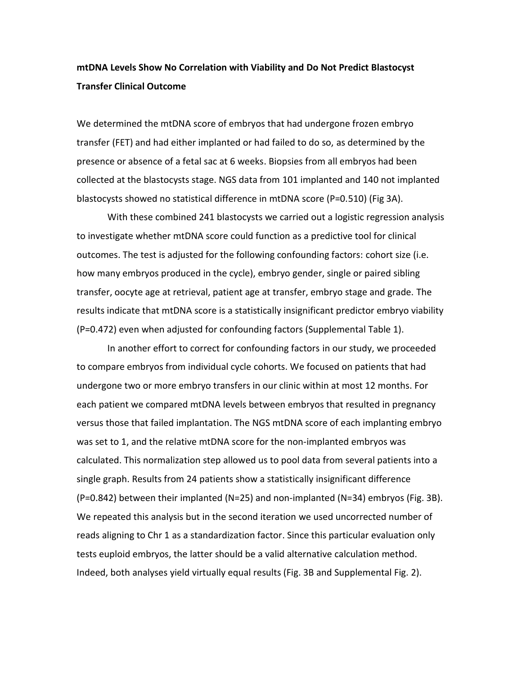### **mtDNA Levels Show No Correlation with Viability and Do Not Predict Blastocyst Transfer Clinical Outcome**

We determined the mtDNA score of embryos that had undergone frozen embryo transfer (FET) and had either implanted or had failed to do so, as determined by the presence or absence of a fetal sac at 6 weeks. Biopsies from all embryos had been collected at the blastocysts stage. NGS data from 101 implanted and 140 not implanted blastocysts showed no statistical difference in mtDNA score (P=0.510) (Fig 3A).

 With these combined 241 blastocysts we carried out a logistic regression analysis to investigate whether mtDNA score could function as a predictive tool for clinical outcomes. The test is adjusted for the following confounding factors: cohort size (i.e. how many embryos produced in the cycle), embryo gender, single or paired sibling transfer, oocyte age at retrieval, patient age at transfer, embryo stage and grade. The results indicate that mtDNA score is a statistically insignificant predictor embryo viability (P=0.472) even when adjusted for confounding factors (Supplemental Table 1).

 In another effort to correct for confounding factors in our study, we proceeded to compare embryos from individual cycle cohorts. We focused on patients that had undergone two or more embryo transfers in our clinic within at most 12 months. For each patient we compared mtDNA levels between embryos that resulted in pregnancy versus those that failed implantation. The NGS mtDNA score of each implanting embryo was set to 1, and the relative mtDNA score for the non-implanted embryos was calculated. This normalization step allowed us to pool data from several patients into a single graph. Results from 24 patients show a statistically insignificant difference (P=0.842) between their implanted (N=25) and non-implanted (N=34) embryos (Fig. 3B). We repeated this analysis but in the second iteration we used uncorrected number of reads aligning to Chr 1 as a standardization factor. Since this particular evaluation only tests euploid embryos, the latter should be a valid alternative calculation method. Indeed, both analyses yield virtually equal results (Fig. 3B and Supplemental Fig. 2).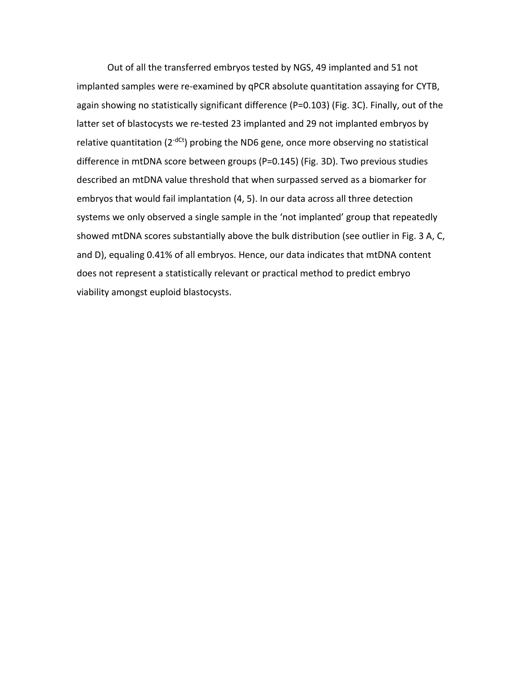Out of all the transferred embryos tested by NGS, 49 implanted and 51 not implanted samples were re-examined by qPCR absolute quantitation assaying for CYTB, again showing no statistically significant difference (P=0.103) (Fig. 3C). Finally, out of the latter set of blastocysts we re-tested 23 implanted and 29 not implanted embryos by relative quantitation ( $2^{-dCt}$ ) probing the ND6 gene, once more observing no statistical difference in mtDNA score between groups (P=0.145) (Fig. 3D). Two previous studies described an mtDNA value threshold that when surpassed served as a biomarker for embryos that would fail implantation (4, 5). In our data across all three detection systems we only observed a single sample in the 'not implanted' group that repeatedly showed mtDNA scores substantially above the bulk distribution (see outlier in Fig. 3 A, C, and D), equaling 0.41% of all embryos. Hence, our data indicates that mtDNA content does not represent a statistically relevant or practical method to predict embryo viability amongst euploid blastocysts.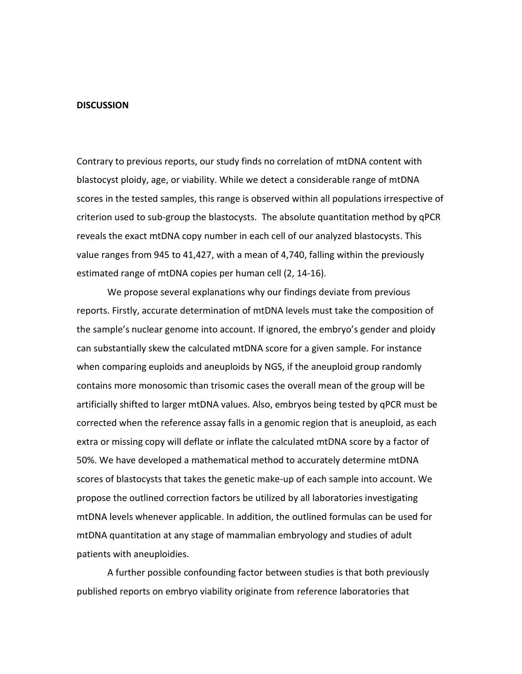#### **DISCUSSION**

Contrary to previous reports, our study finds no correlation of mtDNA content with blastocyst ploidy, age, or viability. While we detect a considerable range of mtDNA scores in the tested samples, this range is observed within all populations irrespective of criterion used to sub-group the blastocysts. The absolute quantitation method by qPCR reveals the exact mtDNA copy number in each cell of our analyzed blastocysts. This value ranges from 945 to 41,427, with a mean of 4,740, falling within the previously estimated range of mtDNA copies per human cell (2, 14-16).

We propose several explanations why our findings deviate from previous reports. Firstly, accurate determination of mtDNA levels must take the composition of the sample's nuclear genome into account. If ignored, the embryo's gender and ploidy can substantially skew the calculated mtDNA score for a given sample. For instance when comparing euploids and aneuploids by NGS, if the aneuploid group randomly contains more monosomic than trisomic cases the overall mean of the group will be artificially shifted to larger mtDNA values. Also, embryos being tested by qPCR must be corrected when the reference assay falls in a genomic region that is aneuploid, as each extra or missing copy will deflate or inflate the calculated mtDNA score by a factor of 50%. We have developed a mathematical method to accurately determine mtDNA scores of blastocysts that takes the genetic make-up of each sample into account. We propose the outlined correction factors be utilized by all laboratories investigating mtDNA levels whenever applicable. In addition, the outlined formulas can be used for mtDNA quantitation at any stage of mammalian embryology and studies of adult patients with aneuploidies.

A further possible confounding factor between studies is that both previously published reports on embryo viability originate from reference laboratories that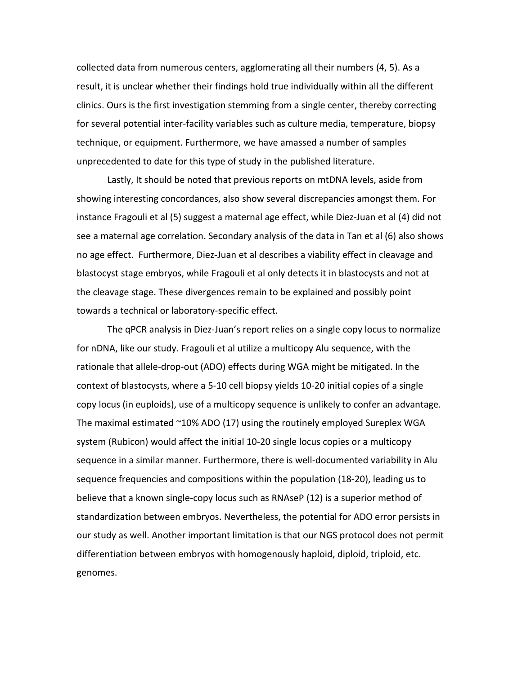collected data from numerous centers, agglomerating all their numbers (4, 5). As a result, it is unclear whether their findings hold true individually within all the different clinics. Ours is the first investigation stemming from a single center, thereby correcting for several potential inter-facility variables such as culture media, temperature, biopsy technique, or equipment. Furthermore, we have amassed a number of samples unprecedented to date for this type of study in the published literature.

Lastly, It should be noted that previous reports on mtDNA levels, aside from showing interesting concordances, also show several discrepancies amongst them. For instance Fragouli et al (5) suggest a maternal age effect, while Diez-Juan et al (4) did not see a maternal age correlation. Secondary analysis of the data in Tan et al (6) also shows no age effect. Furthermore, Diez-Juan et al describes a viability effect in cleavage and blastocyst stage embryos, while Fragouli et al only detects it in blastocysts and not at the cleavage stage. These divergences remain to be explained and possibly point towards a technical or laboratory-specific effect.

The qPCR analysis in Diez-Juan's report relies on a single copy locus to normalize for nDNA, like our study. Fragouli et al utilize a multicopy Alu sequence, with the rationale that allele-drop-out (ADO) effects during WGA might be mitigated. In the context of blastocysts, where a 5-10 cell biopsy yields 10-20 initial copies of a single copy locus (in euploids), use of a multicopy sequence is unlikely to confer an advantage. The maximal estimated ~10% ADO (17) using the routinely employed Sureplex WGA system (Rubicon) would affect the initial 10-20 single locus copies or a multicopy sequence in a similar manner. Furthermore, there is well-documented variability in Alu sequence frequencies and compositions within the population (18-20), leading us to believe that a known single-copy locus such as RNAseP (12) is a superior method of standardization between embryos. Nevertheless, the potential for ADO error persists in our study as well. Another important limitation is that our NGS protocol does not permit differentiation between embryos with homogenously haploid, diploid, triploid, etc. genomes.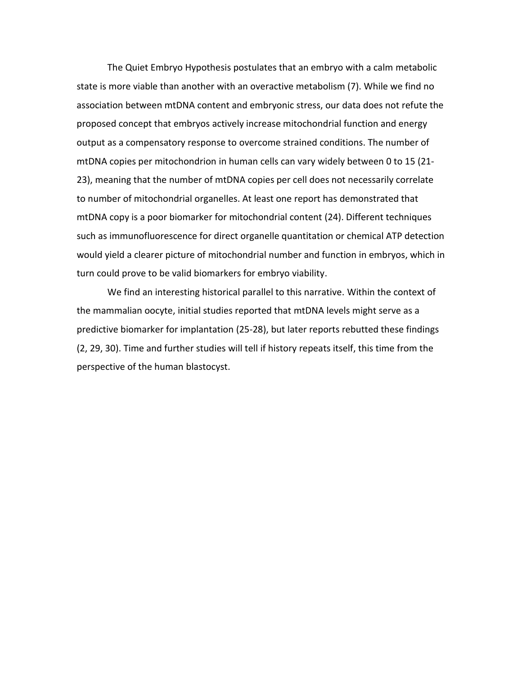The Quiet Embryo Hypothesis postulates that an embryo with a calm metabolic state is more viable than another with an overactive metabolism (7). While we find no association between mtDNA content and embryonic stress, our data does not refute the proposed concept that embryos actively increase mitochondrial function and energy output as a compensatory response to overcome strained conditions. The number of mtDNA copies per mitochondrion in human cells can vary widely between 0 to 15 (21- 23), meaning that the number of mtDNA copies per cell does not necessarily correlate to number of mitochondrial organelles. At least one report has demonstrated that mtDNA copy is a poor biomarker for mitochondrial content (24). Different techniques such as immunofluorescence for direct organelle quantitation or chemical ATP detection would yield a clearer picture of mitochondrial number and function in embryos, which in turn could prove to be valid biomarkers for embryo viability.

We find an interesting historical parallel to this narrative. Within the context of the mammalian oocyte, initial studies reported that mtDNA levels might serve as a predictive biomarker for implantation (25-28), but later reports rebutted these findings (2, 29, 30). Time and further studies will tell if history repeats itself, this time from the perspective of the human blastocyst.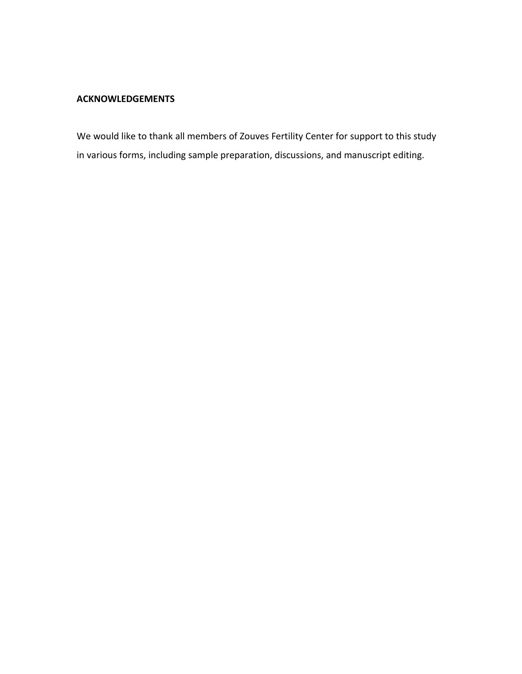#### **ACKNOWLEDGEMENTS**

We would like to thank all members of Zouves Fertility Center for support to this study in various forms, including sample preparation, discussions, and manuscript editing.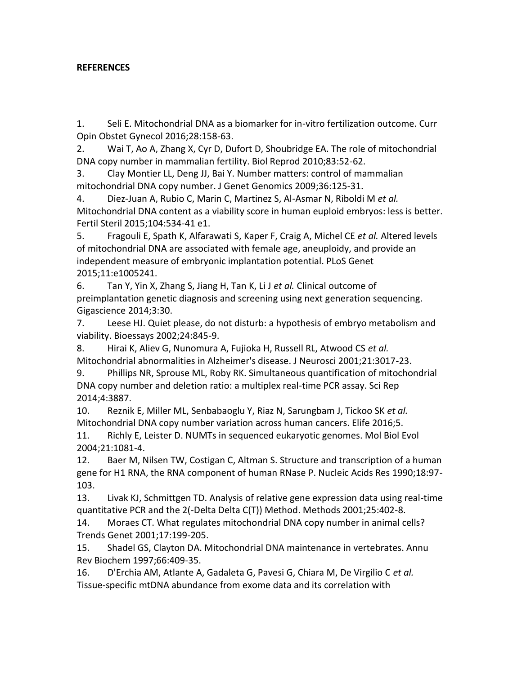#### **REFERENCES**

1. Seli E. Mitochondrial DNA as a biomarker for in-vitro fertilization outcome. Curr Opin Obstet Gynecol 2016;28:158-63.

2. Wai T, Ao A, Zhang X, Cyr D, Dufort D, Shoubridge EA. The role of mitochondrial DNA copy number in mammalian fertility. Biol Reprod 2010;83:52-62.

3. Clay Montier LL, Deng JJ, Bai Y. Number matters: control of mammalian mitochondrial DNA copy number. J Genet Genomics 2009;36:125-31.

4. Diez-Juan A, Rubio C, Marin C, Martinez S, Al-Asmar N, Riboldi M *et al.* Mitochondrial DNA content as a viability score in human euploid embryos: less is better. Fertil Steril 2015;104:534-41 e1.

5. Fragouli E, Spath K, Alfarawati S, Kaper F, Craig A, Michel CE *et al.* Altered levels of mitochondrial DNA are associated with female age, aneuploidy, and provide an independent measure of embryonic implantation potential. PLoS Genet 2015;11:e1005241.

6. Tan Y, Yin X, Zhang S, Jiang H, Tan K, Li J *et al.* Clinical outcome of preimplantation genetic diagnosis and screening using next generation sequencing. Gigascience 2014;3:30.

7. Leese HJ. Quiet please, do not disturb: a hypothesis of embryo metabolism and viability. Bioessays 2002;24:845-9.

8. Hirai K, Aliev G, Nunomura A, Fujioka H, Russell RL, Atwood CS *et al.* Mitochondrial abnormalities in Alzheimer's disease. J Neurosci 2001;21:3017-23.

9. Phillips NR, Sprouse ML, Roby RK. Simultaneous quantification of mitochondrial DNA copy number and deletion ratio: a multiplex real-time PCR assay. Sci Rep 2014;4:3887.

10. Reznik E, Miller ML, Senbabaoglu Y, Riaz N, Sarungbam J, Tickoo SK *et al.* Mitochondrial DNA copy number variation across human cancers. Elife 2016;5.

11. Richly E, Leister D. NUMTs in sequenced eukaryotic genomes. Mol Biol Evol 2004;21:1081-4.

12. Baer M, Nilsen TW, Costigan C, Altman S. Structure and transcription of a human gene for H1 RNA, the RNA component of human RNase P. Nucleic Acids Res 1990;18:97- 103.

13. Livak KJ, Schmittgen TD. Analysis of relative gene expression data using real-time quantitative PCR and the 2(-Delta Delta C(T)) Method. Methods 2001;25:402-8.

14. Moraes CT. What regulates mitochondrial DNA copy number in animal cells? Trends Genet 2001;17:199-205.

15. Shadel GS, Clayton DA. Mitochondrial DNA maintenance in vertebrates. Annu Rev Biochem 1997;66:409-35.

16. D'Erchia AM, Atlante A, Gadaleta G, Pavesi G, Chiara M, De Virgilio C *et al.* Tissue-specific mtDNA abundance from exome data and its correlation with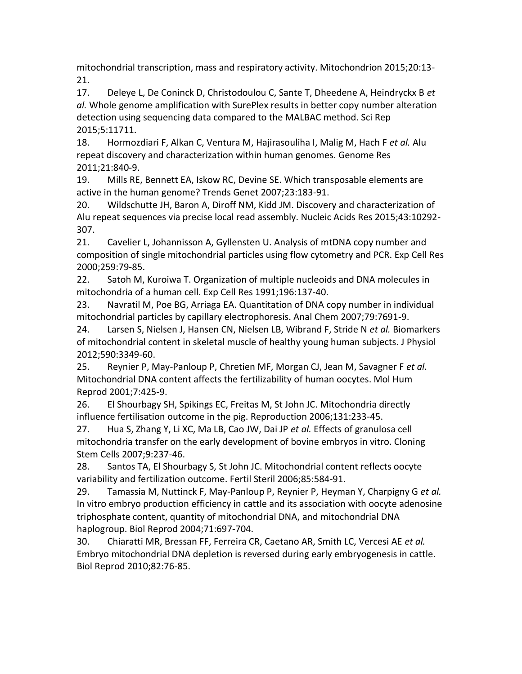mitochondrial transcription, mass and respiratory activity. Mitochondrion 2015;20:13- 21.

17. Deleye L, De Coninck D, Christodoulou C, Sante T, Dheedene A, Heindryckx B *et al.* Whole genome amplification with SurePlex results in better copy number alteration detection using sequencing data compared to the MALBAC method. Sci Rep 2015;5:11711.

18. Hormozdiari F, Alkan C, Ventura M, Hajirasouliha I, Malig M, Hach F *et al.* Alu repeat discovery and characterization within human genomes. Genome Res 2011;21:840-9.

19. Mills RE, Bennett EA, Iskow RC, Devine SE. Which transposable elements are active in the human genome? Trends Genet 2007;23:183-91.

20. Wildschutte JH, Baron A, Diroff NM, Kidd JM. Discovery and characterization of Alu repeat sequences via precise local read assembly. Nucleic Acids Res 2015;43:10292- 307.

21. Cavelier L, Johannisson A, Gyllensten U. Analysis of mtDNA copy number and composition of single mitochondrial particles using flow cytometry and PCR. Exp Cell Res 2000;259:79-85.

22. Satoh M, Kuroiwa T. Organization of multiple nucleoids and DNA molecules in mitochondria of a human cell. Exp Cell Res 1991;196:137-40.

23. Navratil M, Poe BG, Arriaga EA. Quantitation of DNA copy number in individual mitochondrial particles by capillary electrophoresis. Anal Chem 2007;79:7691-9.

24. Larsen S, Nielsen J, Hansen CN, Nielsen LB, Wibrand F, Stride N *et al.* Biomarkers of mitochondrial content in skeletal muscle of healthy young human subjects. J Physiol 2012;590:3349-60.

25. Reynier P, May-Panloup P, Chretien MF, Morgan CJ, Jean M, Savagner F *et al.* Mitochondrial DNA content affects the fertilizability of human oocytes. Mol Hum Reprod 2001;7:425-9.

26. El Shourbagy SH, Spikings EC, Freitas M, St John JC. Mitochondria directly influence fertilisation outcome in the pig. Reproduction 2006;131:233-45.

27. Hua S, Zhang Y, Li XC, Ma LB, Cao JW, Dai JP *et al.* Effects of granulosa cell mitochondria transfer on the early development of bovine embryos in vitro. Cloning Stem Cells 2007;9:237-46.

28. Santos TA, El Shourbagy S, St John JC. Mitochondrial content reflects oocyte variability and fertilization outcome. Fertil Steril 2006;85:584-91.

29. Tamassia M, Nuttinck F, May-Panloup P, Reynier P, Heyman Y, Charpigny G *et al.* In vitro embryo production efficiency in cattle and its association with oocyte adenosine triphosphate content, quantity of mitochondrial DNA, and mitochondrial DNA haplogroup. Biol Reprod 2004;71:697-704.

30. Chiaratti MR, Bressan FF, Ferreira CR, Caetano AR, Smith LC, Vercesi AE *et al.* Embryo mitochondrial DNA depletion is reversed during early embryogenesis in cattle. Biol Reprod 2010;82:76-85.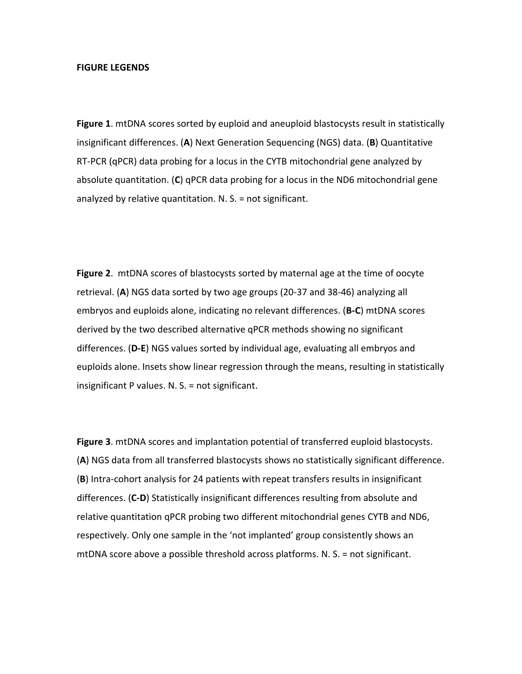#### **FIGURE LEGENDS**

**Figure 1**. mtDNA scores sorted by euploid and aneuploid blastocysts result in statistically insignificant differences. (**A**) Next Generation Sequencing (NGS) data. (**B**) Quantitative RT-PCR (qPCR) data probing for a locus in the CYTB mitochondrial gene analyzed by absolute quantitation. (**C**) qPCR data probing for a locus in the ND6 mitochondrial gene analyzed by relative quantitation. N. S. = not significant.

**Figure 2**. mtDNA scores of blastocysts sorted by maternal age at the time of oocyte retrieval. (**A**) NGS data sorted by two age groups (20-37 and 38-46) analyzing all embryos and euploids alone, indicating no relevant differences. (**B-C**) mtDNA scores derived by the two described alternative qPCR methods showing no significant differences. (**D-E**) NGS values sorted by individual age, evaluating all embryos and euploids alone. Insets show linear regression through the means, resulting in statistically insignificant P values. N. S. = not significant.

**Figure 3**. mtDNA scores and implantation potential of transferred euploid blastocysts. (**A**) NGS data from all transferred blastocysts shows no statistically significant difference. (**B**) Intra-cohort analysis for 24 patients with repeat transfers results in insignificant differences. (**C-D**) Statistically insignificant differences resulting from absolute and relative quantitation qPCR probing two different mitochondrial genes CYTB and ND6, respectively. Only one sample in the 'not implanted' group consistently shows an mtDNA score above a possible threshold across platforms. N. S. = not significant.